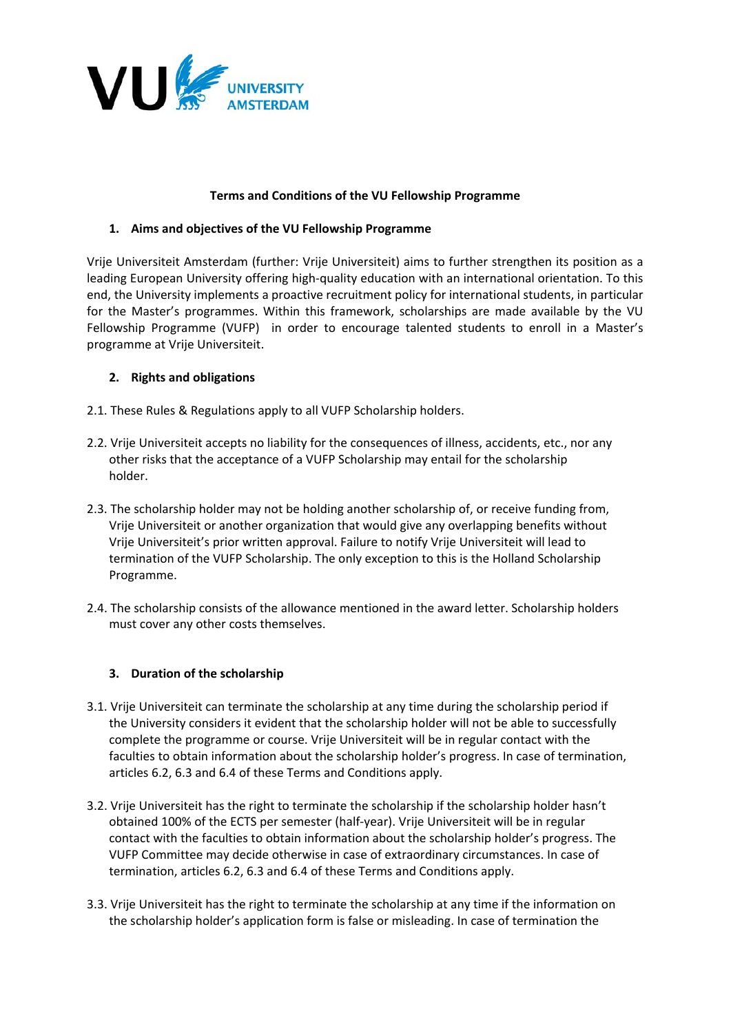

### **Terms and Conditions of the VU Fellowship Programme**

## **1. Aims and objectives of the VU Fellowship Programme**

Vrije Universiteit Amsterdam (further: Vrije Universiteit) aims to further strengthen its position as a leading European University offering high-quality education with an international orientation. To this end, the University implements a proactive recruitment policy for international students, in particular for the Master's programmes. Within this framework, scholarships are made available by the VU Fellowship Programme (VUFP) in order to encourage talented students to enroll in a Master's programme at Vrije Universiteit.

## **2. Rights and obligations**

- 2.1. These Rules & Regulations apply to all VUFP Scholarship holders.
- 2.2. Vrije Universiteit accepts no liability for the consequences of illness, accidents, etc., nor any other risks that the acceptance of a VUFP Scholarship may entail for the scholarship holder.
- 2.3. The scholarship holder may not be holding another scholarship of, or receive funding from, Vrije Universiteit or another organization that would give any overlapping benefits without Vrije Universiteit's prior written approval. Failure to notify Vrije Universiteit will lead to termination of the VUFP Scholarship. The only exception to this is the Holland Scholarship Programme.
- 2.4. The scholarship consists of the allowance mentioned in the award letter. Scholarship holders must cover any other costs themselves.

### **3. Duration of the scholarship**

- 3.1. Vrije Universiteit can terminate the scholarship at any time during the scholarship period if the University considers it evident that the scholarship holder will not be able to successfully complete the programme or course. Vrije Universiteit will be in regular contact with the faculties to obtain information about the scholarship holder's progress. In case of termination, articles 6.2, 6.3 and 6.4 of these Terms and Conditions apply.
- 3.2. Vrije Universiteit has the right to terminate the scholarship if the scholarship holder hasn't obtained 100% of the ECTS per semester (half-year). Vrije Universiteit will be in regular contact with the faculties to obtain information about the scholarship holder's progress. The VUFP Committee may decide otherwise in case of extraordinary circumstances. In case of termination, articles 6.2, 6.3 and 6.4 of these Terms and Conditions apply.
- 3.3. Vrije Universiteit has the right to terminate the scholarship at any time if the information on the scholarship holder's application form is false or misleading. In case of termination the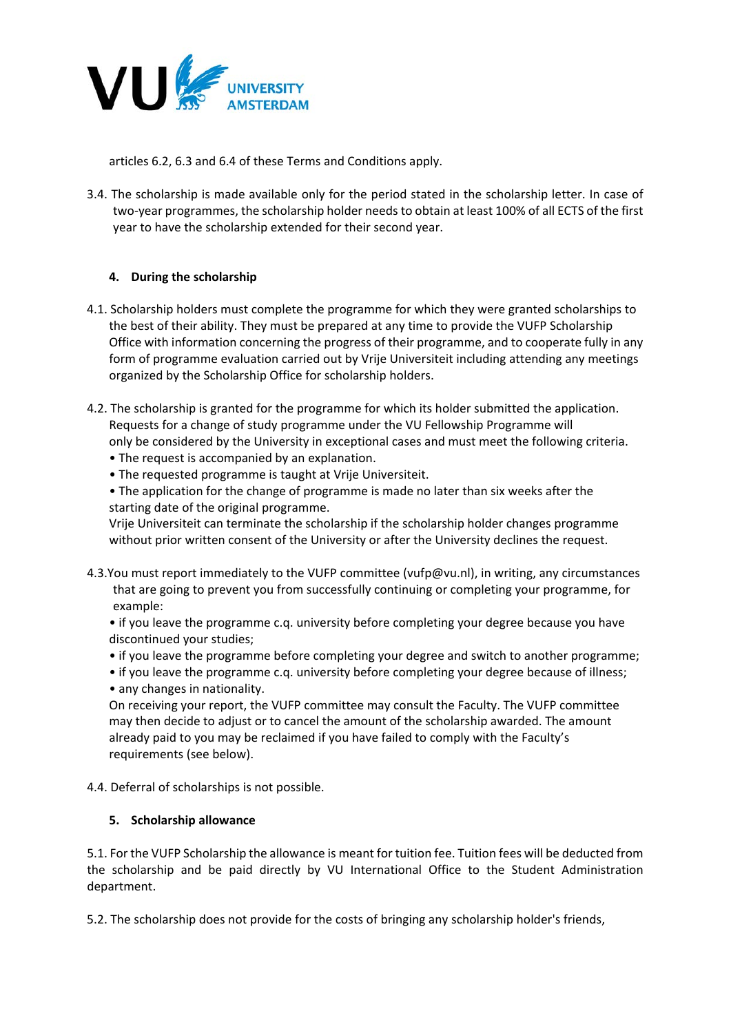

articles 6.2, 6.3 and 6.4 of these Terms and Conditions apply.

3.4. The scholarship is made available only for the period stated in the scholarship letter. In case of two-year programmes, the scholarship holder needs to obtain at least 100% of all ECTS of the first year to have the scholarship extended for their second year.

## **4. During the scholarship**

- 4.1. Scholarship holders must complete the programme for which they were granted scholarships to the best of their ability. They must be prepared at any time to provide the VUFP Scholarship Office with information concerning the progress of their programme, and to cooperate fully in any form of programme evaluation carried out by Vrije Universiteit including attending any meetings organized by the Scholarship Office for scholarship holders.
- 4.2. The scholarship is granted for the programme for which its holder submitted the application. Requests for a change of study programme under the VU Fellowship Programme will only be considered by the University in exceptional cases and must meet the following criteria.
	- The request is accompanied by an explanation.
	- The requested programme is taught at Vrije Universiteit.
	- The application for the change of programme is made no later than six weeks after the starting date of the original programme.

Vrije Universiteit can terminate the scholarship if the scholarship holder changes programme without prior written consent of the University or after the University declines the request.

- 4.3.You must report immediately to the VUFP committee (vufp@vu.nl), in writing, any circumstances that are going to prevent you from successfully continuing or completing your programme, for example:
	- if you leave the programme c.q. university before completing your degree because you have discontinued your studies;
	- if you leave the programme before completing your degree and switch to another programme;
	- if you leave the programme c.q. university before completing your degree because of illness; • any changes in nationality.

On receiving your report, the VUFP committee may consult the Faculty. The VUFP committee may then decide to adjust or to cancel the amount of the scholarship awarded. The amount already paid to you may be reclaimed if you have failed to comply with the Faculty's requirements (see below).

4.4. Deferral of scholarships is not possible.

### **5. Scholarship allowance**

5.1. For the VUFP Scholarship the allowance is meant for tuition fee. Tuition fees will be deducted from the scholarship and be paid directly by VU International Office to the Student Administration department.

5.2. The scholarship does not provide for the costs of bringing any scholarship holder's friends,